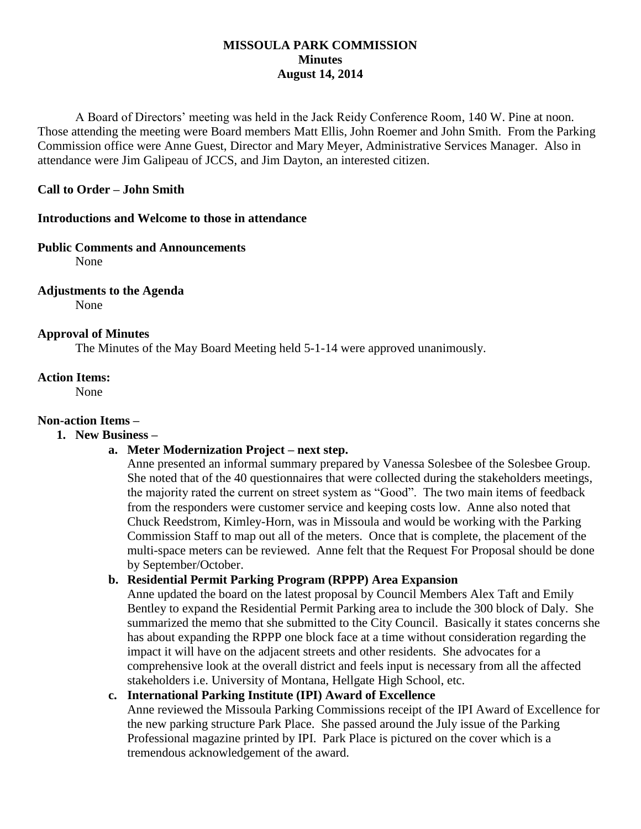### **MISSOULA PARK COMMISSION Minutes August 14, 2014**

A Board of Directors' meeting was held in the Jack Reidy Conference Room, 140 W. Pine at noon. Those attending the meeting were Board members Matt Ellis, John Roemer and John Smith. From the Parking Commission office were Anne Guest, Director and Mary Meyer, Administrative Services Manager. Also in attendance were Jim Galipeau of JCCS, and Jim Dayton, an interested citizen.

### **Call to Order – John Smith**

### **Introductions and Welcome to those in attendance**

#### **Public Comments and Announcements**

None

### **Adjustments to the Agenda**

None

### **Approval of Minutes**

The Minutes of the May Board Meeting held 5-1-14 were approved unanimously.

### **Action Items:**

None

# **Non-action Items –**

### **1. New Business –**

### **a. Meter Modernization Project – next step.**

Anne presented an informal summary prepared by Vanessa Solesbee of the Solesbee Group. She noted that of the 40 questionnaires that were collected during the stakeholders meetings, the majority rated the current on street system as "Good". The two main items of feedback from the responders were customer service and keeping costs low. Anne also noted that Chuck Reedstrom, Kimley-Horn, was in Missoula and would be working with the Parking Commission Staff to map out all of the meters. Once that is complete, the placement of the multi-space meters can be reviewed. Anne felt that the Request For Proposal should be done by September/October.

### **b. Residential Permit Parking Program (RPPP) Area Expansion**

Anne updated the board on the latest proposal by Council Members Alex Taft and Emily Bentley to expand the Residential Permit Parking area to include the 300 block of Daly. She summarized the memo that she submitted to the City Council. Basically it states concerns she has about expanding the RPPP one block face at a time without consideration regarding the impact it will have on the adjacent streets and other residents. She advocates for a comprehensive look at the overall district and feels input is necessary from all the affected stakeholders i.e. University of Montana, Hellgate High School, etc.

### **c. International Parking Institute (IPI) Award of Excellence**

Anne reviewed the Missoula Parking Commissions receipt of the IPI Award of Excellence for the new parking structure Park Place. She passed around the July issue of the Parking Professional magazine printed by IPI. Park Place is pictured on the cover which is a tremendous acknowledgement of the award.